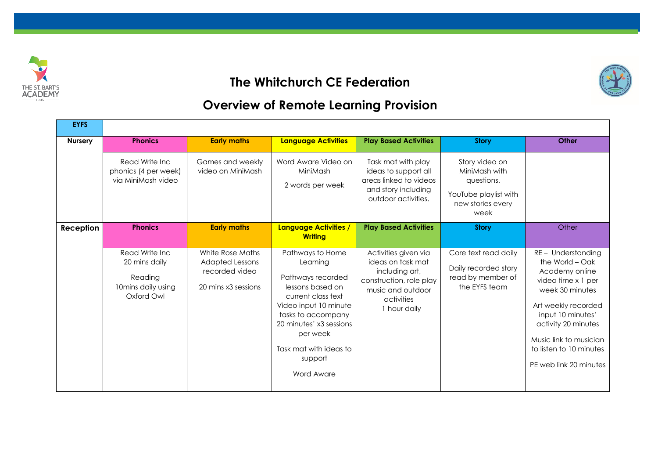

## **The Whitchurch CE Federation**

## **Overview of Remote Learning Provision**

| <b>EYFS</b>    |                                                                                |                                                                                     |                                                                                                                                                                                                                                      |                                                                                                                                           |                                                                                                     |                                                                                                                                                                                                                                                   |  |
|----------------|--------------------------------------------------------------------------------|-------------------------------------------------------------------------------------|--------------------------------------------------------------------------------------------------------------------------------------------------------------------------------------------------------------------------------------|-------------------------------------------------------------------------------------------------------------------------------------------|-----------------------------------------------------------------------------------------------------|---------------------------------------------------------------------------------------------------------------------------------------------------------------------------------------------------------------------------------------------------|--|
| <b>Nursery</b> | <b>Early maths</b><br><b>Phonics</b>                                           |                                                                                     | <b>Language Activities</b>                                                                                                                                                                                                           | <b>Play Based Activities</b>                                                                                                              | <b>Story</b>                                                                                        | Other                                                                                                                                                                                                                                             |  |
|                | Read Write Inc<br>phonics (4 per week)<br>via MiniMash video                   | Games and weekly<br>video on MiniMash                                               | Word Aware Video on<br>MiniMash<br>2 words per week                                                                                                                                                                                  | Task mat with play<br>ideas to support all<br>areas linked to videos<br>and story including<br>outdoor activities.                        | Story video on<br>MiniMash with<br>questions.<br>YouTube playlist with<br>new stories every<br>week |                                                                                                                                                                                                                                                   |  |
| Reception      | <b>Phonics</b>                                                                 | <b>Early maths</b>                                                                  | Language Activities /<br>Writing                                                                                                                                                                                                     | <b>Play Based Activities</b>                                                                                                              | <b>Story</b>                                                                                        | Other                                                                                                                                                                                                                                             |  |
|                | Read Write Inc<br>20 mins daily<br>Reading<br>10mins daily using<br>Oxford Owl | White Rose Maths<br><b>Adapted Lessons</b><br>recorded video<br>20 mins x3 sessions | Pathways to Home<br>Learning<br>Pathways recorded<br>lessons based on<br>current class text<br>Video input 10 minute<br>tasks to accompany<br>20 minutes' x3 sessions<br>per week<br>Task mat with ideas to<br>support<br>Word Aware | Activities given via<br>ideas on task mat<br>including art,<br>construction, role play<br>music and outdoor<br>activities<br>1 hour daily | Core text read daily<br>Daily recorded story<br>read by member of<br>the EYFS team                  | RE- Understanding<br>the World - Oak<br>Academy online<br>video time x 1 per<br>week 30 minutes<br>Art weekly recorded<br>input 10 minutes'<br>activity 20 minutes<br>Music link to musician<br>to listen to 10 minutes<br>PE web link 20 minutes |  |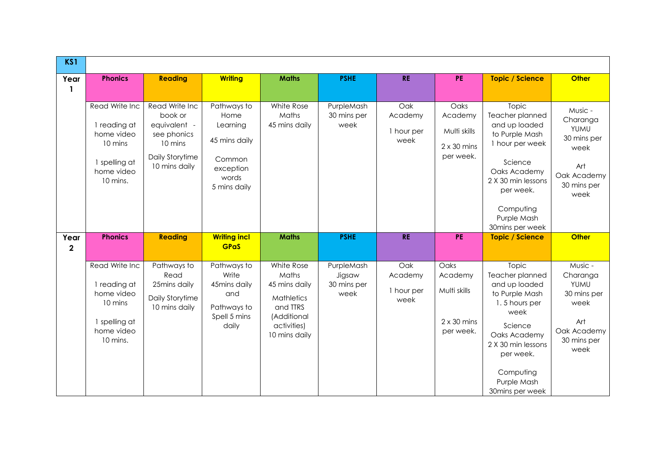| KS1                      |                                                                                                    |                                                                                                         |                                                                                                  |                                                                                                                      |                                             |                                      |                                                                    |                                                                                                                                                                                                   |                                                                                                 |
|--------------------------|----------------------------------------------------------------------------------------------------|---------------------------------------------------------------------------------------------------------|--------------------------------------------------------------------------------------------------|----------------------------------------------------------------------------------------------------------------------|---------------------------------------------|--------------------------------------|--------------------------------------------------------------------|---------------------------------------------------------------------------------------------------------------------------------------------------------------------------------------------------|-------------------------------------------------------------------------------------------------|
| Year<br>1                | <b>Phonics</b>                                                                                     | <b>Reading</b>                                                                                          | <b>Writing</b>                                                                                   | <b>Maths</b>                                                                                                         | <b>PSHE</b>                                 | <b>RE</b>                            | <b>PE</b>                                                          | <b>Topic / Science</b>                                                                                                                                                                            | <b>Other</b>                                                                                    |
|                          | Read Write Inc<br>1 reading at<br>home video<br>10 mins<br>1 spelling at<br>home video<br>10 mins. | Read Write Inc<br>book or<br>equivalent -<br>see phonics<br>10 mins<br>Daily Storytime<br>10 mins daily | Pathways to<br>Home<br>Learning<br>45 mins daily<br>Common<br>exception<br>words<br>5 mins daily | White Rose<br>Maths<br>45 mins daily                                                                                 | PurpleMash<br>30 mins per<br>week           | Oak<br>Academy<br>1 hour per<br>week | Oaks<br>Academy<br>Multi skills<br>$2 \times 30$ mins<br>per week. | Topic<br>Teacher planned<br>and up loaded<br>to Purple Mash<br>1 hour per week<br>Science<br>Oaks Academy<br>2 X 30 min lessons<br>per week.<br>Computing<br>Purple Mash<br>30mins per week       | Music -<br>Charanga<br>YUMU<br>30 mins per<br>week<br>Art<br>Oak Academy<br>30 mins per<br>week |
| Year<br>$\boldsymbol{2}$ | <b>Phonics</b>                                                                                     | <b>Reading</b>                                                                                          | <b>Writing incl</b><br><b>GPaS</b>                                                               | <b>Maths</b>                                                                                                         | <b>PSHE</b>                                 | <b>RE</b>                            | <b>PE</b>                                                          | <b>Topic / Science</b>                                                                                                                                                                            | <b>Other</b>                                                                                    |
|                          | Read Write Inc<br>1 reading at<br>home video<br>10 mins<br>1 spelling at<br>home video<br>10 mins. | Pathways to<br>Read<br>25mins daily<br>Daily Storytime<br>10 mins daily                                 | Pathways to<br>Write<br>45mins daily<br>and<br>Pathways to<br>Spell 5 mins<br>daily              | White Rose<br>Maths<br>45 mins daily<br><b>Mathletics</b><br>and TTRS<br>(Additional<br>activities)<br>10 mins daily | PurpleMash<br>Jigsaw<br>30 mins per<br>week | Oak<br>Academy<br>1 hour per<br>week | Oaks<br>Academy<br>Multi skills<br>$2 \times 30$ mins<br>per week. | Topic<br>Teacher planned<br>and up loaded<br>to Purple Mash<br>1.5 hours per<br>week<br>Science<br>Oaks Academy<br>2 X 30 min lessons<br>per week.<br>Computing<br>Purple Mash<br>30mins per week | Music -<br>Charanga<br>YUMU<br>30 mins per<br>week<br>Art<br>Oak Academy<br>30 mins per<br>week |